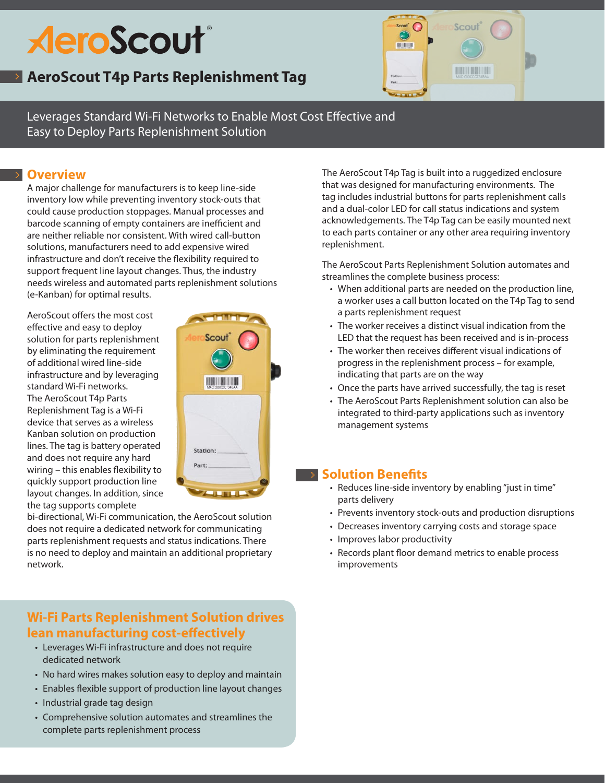# **AeroScout**®

## **AeroScout T4p Parts Replenishment Tag**



Leverages Standard Wi-Fi Networks to Enable Most Cost Effective and Easy to Deploy Parts Replenishment Solution

## **Overview**

A major challenge for manufacturers is to keep line-side inventory low while preventing inventory stock-outs that could cause production stoppages. Manual processes and barcode scanning of empty containers are inefficient and are neither reliable nor consistent. With wired call-button solutions, manufacturers need to add expensive wired infrastructure and don't receive the flexibility required to support frequent line layout changes. Thus, the industry needs wireless and automated parts replenishment solutions (e-Kanban) for optimal results.

AeroScout offers the most cost effective and easy to deploy solution for parts replenishment by eliminating the requirement of additional wired line-side infrastructure and by leveraging standard Wi-Fi networks. The AeroScout T4p Parts Replenishment Tag is a Wi-Fi device that serves as a wireless Kanban solution on production lines. The tag is battery operated and does not require any hard wiring – this enables flexibility to quickly support production line layout changes. In addition, since the tag supports complete



bi-directional, Wi-Fi communication, the AeroScout solution does not require a dedicated network for communicating parts replenishment requests and status indications. There is no need to deploy and maintain an additional proprietary network.

## **Wi-Fi Parts Replenishment Solution drives lean manufacturing cost-effectively**

- • Leverages Wi-Fi infrastructure and does not require dedicated network
- No hard wires makes solution easy to deploy and maintain
- Enables flexible support of production line layout changes
- Industrial grade tag design
- • Comprehensive solution automates and streamlines the complete parts replenishment process

The AeroScout T4p Tag is built into a ruggedized enclosure that was designed for manufacturing environments. The tag includes industrial buttons for parts replenishment calls and a dual-color LED for call status indications and system acknowledgements. The T4p Tag can be easily mounted next to each parts container or any other area requiring inventory replenishment.

The AeroScout Parts Replenishment Solution automates and streamlines the complete business process:

- When additional parts are needed on the production line, a worker uses a call button located on the T4p Tag to send a parts replenishment request
- The worker receives a distinct visual indication from the LED that the request has been received and is in-process
- The worker then receives different visual indications of progress in the replenishment process – for example, indicating that parts are on the way
- Once the parts have arrived successfully, the tag is reset
- The AeroScout Parts Replenishment solution can also be integrated to third-party applications such as inventory management systems

## **Solution Benefits**

- Reduces line-side inventory by enabling "just in time" parts delivery
- Prevents inventory stock-outs and production disruptions
- Decreases inventory carrying costs and storage space
- Improves labor productivity
- Records plant floor demand metrics to enable process improvements